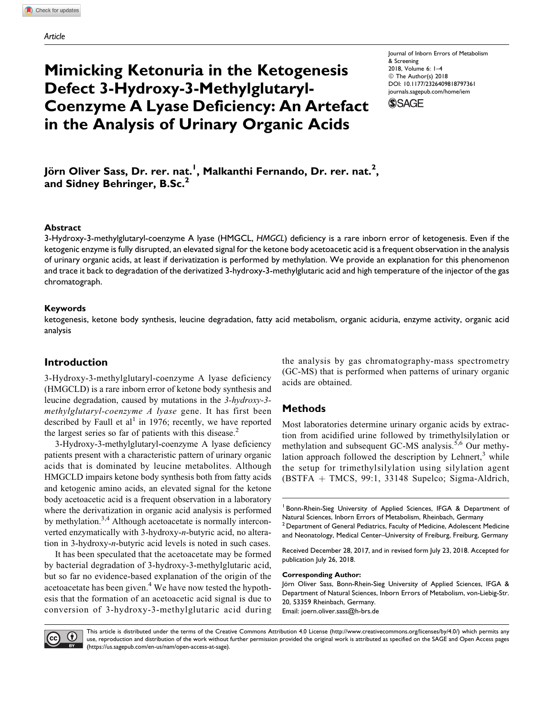## Mimicking Ketonuria in the Ketogenesis Defect 3-Hydroxy-3-Methylglutaryl-Coenzyme A Lyase Deficiency: An Artefact in the Analysis of Urinary Organic Acids

Journal of Inborn Errors of Metabolism & Screening 2018, Volume 6: 1–4 © The Author(s) 2018 [DOI: 10.1177/2326409818797361](https://doi.org/10.1177/2326409818797361) [journals.sagepub.com/home/iem](http://journals.sagepub.com/home/iem)



Jörn Oliver Sass, Dr. rer. nat.<sup>I</sup>, Malkanthi Fernando, Dr. rer. nat.<sup>2</sup>, and Sidney Behringer, B.Sc.<sup>2</sup>

### Abstract

3-Hydroxy-3-methylglutaryl-coenzyme A lyase (HMGCL, HMGCL) deficiency is a rare inborn error of ketogenesis. Even if the ketogenic enzyme is fully disrupted, an elevated signal for the ketone body acetoacetic acid is a frequent observation in the analysis of urinary organic acids, at least if derivatization is performed by methylation. We provide an explanation for this phenomenon and trace it back to degradation of the derivatized 3-hydroxy-3-methylglutaric acid and high temperature of the injector of the gas chromatograph.

#### Keywords

ketogenesis, ketone body synthesis, leucine degradation, fatty acid metabolism, organic aciduria, enzyme activity, organic acid analysis

## Introduction

3-Hydroxy-3-methylglutaryl-coenzyme A lyase deficiency (HMGCLD) is a rare inborn error of ketone body synthesis and leucine degradation, caused by mutations in the 3-hydroxy-3 methylglutaryl-coenzyme A lyase gene. It has first been described by Faull et al<sup>1</sup> in 1976; recently, we have reported the largest series so far of patients with this disease.<sup>2</sup>

3-Hydroxy-3-methylglutaryl-coenzyme A lyase deficiency patients present with a characteristic pattern of urinary organic acids that is dominated by leucine metabolites. Although HMGCLD impairs ketone body synthesis both from fatty acids and ketogenic amino acids, an elevated signal for the ketone body acetoacetic acid is a frequent observation in a laboratory where the derivatization in organic acid analysis is performed by methylation.<sup>3,4</sup> Although acetoacetate is normally interconverted enzymatically with 3-hydroxy-n-butyric acid, no alteration in 3-hydroxy-n-butyric acid levels is noted in such cases.

It has been speculated that the acetoacetate may be formed by bacterial degradation of 3-hydroxy-3-methylglutaric acid, but so far no evidence-based explanation of the origin of the acetoacetate has been given.<sup>4</sup> We have now tested the hypothesis that the formation of an acetoacetic acid signal is due to conversion of 3-hydroxy-3-methylglutaric acid during the analysis by gas chromatography-mass spectrometry (GC-MS) that is performed when patterns of urinary organic acids are obtained.

## **Methods**

Most laboratories determine urinary organic acids by extraction from acidified urine followed by trimethylsilylation or methylation and subsequent GC-MS analysis.<sup>5,6</sup> Our methylation approach followed the description by Lehnert, $3$  while the setup for trimethylsilylation using silylation agent  $(BSTFA + TMCS, 99:1, 33148$  Supelco; Sigma-Aldrich,

<sup>1</sup> Bonn-Rhein-Sieg University of Applied Sciences, IFGA & Department of Natural Sciences, Inborn Errors of Metabolism, Rheinbach, Germany

 $2$  Department of General Pediatrics, Faculty of Medicine, Adolescent Medicine and Neonatology, Medical Center–University of Freiburg, Freiburg, Germany

Received December 28, 2018, and in revised form July 23, 2018. Accepted for publication July 26, 2018.

#### Corresponding Author:

Jörn Oliver Sass, Bonn-Rhein-Sieg University of Applied Sciences, IFGA & Department of Natural Sciences, Inborn Errors of Metabolism, von-Liebig-Str. 20, 53359 Rheinbach, Germany. Email: [joern.oliver.sass@h-brs.de](mailto:joern.oliver.sass@h-brs.de)



This article is distributed under the terms of the Creative Commons Attribution 4.0 License (<http://www.creativecommons.org/licenses/by/4.0/>) which permits any use, reproduction and distribution of the work without further permission provided the original work is attributed as specified on the SAGE and Open Access pages [\(https://us.sagepub.com/en-us/nam/open-access-at-sage\)](https://us.sagepub.com/en-us/nam/open-access-at-sage).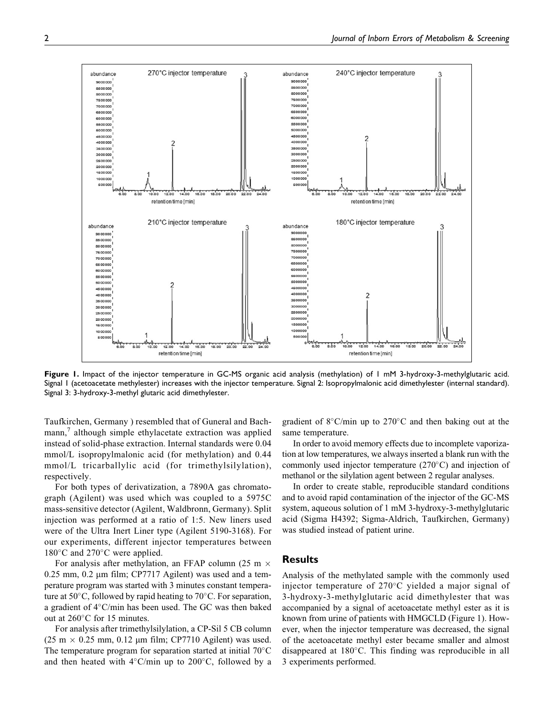Figure 1. Impact of the injector temperature in GC-MS organic acid analysis (methylation) of 1 mM 3-hydroxy-3-methylglutaric acid. Signal 1 (acetoacetate methylester) increases with the injector temperature. Signal 2: Isopropylmalonic acid dimethylester (internal standard). Signal 3: 3-hydroxy-3-methyl glutaric acid dimethylester.

Taufkirchen, Germany ) resembled that of Guneral and Bachmann,<sup>7</sup> although simple ethylacetate extraction was applied instead of solid-phase extraction. Internal standards were 0.04 mmol/L isopropylmalonic acid (for methylation) and 0.44 mmol/L tricarballylic acid (for trimethylsilylation), respectively.

For both types of derivatization, a 7890A gas chromatograph (Agilent) was used which was coupled to a 5975C mass-sensitive detector (Agilent, Waldbronn, Germany). Split injection was performed at a ratio of 1:5. New liners used were of the Ultra Inert Liner type (Agilent 5190-3168). For our experiments, different injector temperatures between 180°C and 270°C were applied.

For analysis after methylation, an FFAP column (25 m  $\times$  $0.25$  mm,  $0.2$  µm film; CP7717 Agilent) was used and a temperature program was started with 3 minutes constant temperature at  $50^{\circ}$ C, followed by rapid heating to  $70^{\circ}$ C. For separation, a gradient of 4°C/min has been used. The GC was then baked out at 260°C for 15 minutes.

For analysis after trimethylsilylation, a CP-Sil 5 CB column (25 m  $\times$  0.25 mm, 0.12 µm film; CP7710 Agilent) was used. The temperature program for separation started at initial  $70^{\circ}$ C and then heated with  $4^{\circ}$ C/min up to 200 $^{\circ}$ C, followed by a

gradient of  $8^{\circ}$ C/min up to 270 $^{\circ}$ C and then baking out at the same temperature.

In order to avoid memory effects due to incomplete vaporization at low temperatures, we always inserted a blank run with the commonly used injector temperature  $(270^{\circ}$ C) and injection of methanol or the silylation agent between 2 regular analyses.

In order to create stable, reproducible standard conditions and to avoid rapid contamination of the injector of the GC-MS system, aqueous solution of 1 mM 3-hydroxy-3-methylglutaric acid (Sigma H4392; Sigma-Aldrich, Taufkirchen, Germany) was studied instead of patient urine.

## **Results**

Analysis of the methylated sample with the commonly used injector temperature of 270°C yielded a major signal of 3-hydroxy-3-methylglutaric acid dimethylester that was accompanied by a signal of acetoacetate methyl ester as it is known from urine of patients with HMGCLD (Figure 1). However, when the injector temperature was decreased, the signal of the acetoacetate methyl ester became smaller and almost disappeared at 180°C. This finding was reproducible in all 3 experiments performed.

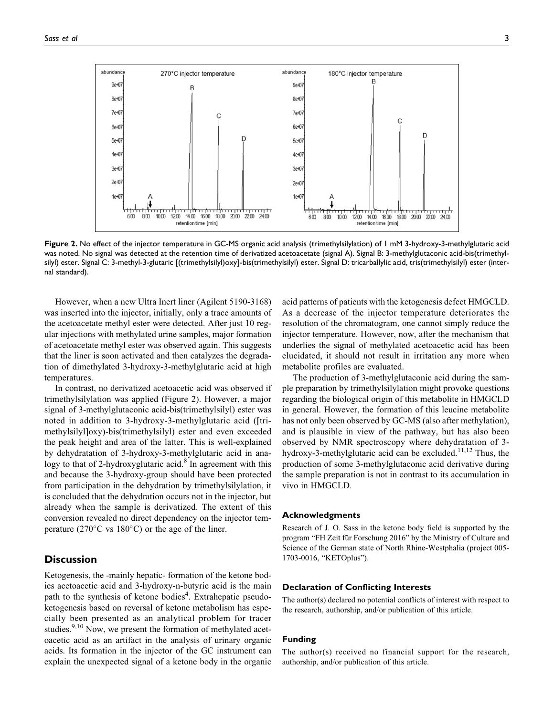

Figure 2. No effect of the injector temperature in GC-MS organic acid analysis (trimethylsilylation) of 1 mM 3-hydroxy-3-methylglutaric acid was noted. No signal was detected at the retention time of derivatized acetoacetate (signal A). Signal B: 3-methylglutaconic acid-bis(trimethylsilyl) ester. Signal C: 3-methyl-3-glutaric [(trimethylsilyl)oxy]-bis(trimethylsilyl) ester. Signal D: tricarballylic acid, tris(trimethylsilyl) ester (internal standard).

However, when a new Ultra Inert liner (Agilent 5190-3168) was inserted into the injector, initially, only a trace amounts of the acetoacetate methyl ester were detected. After just 10 regular injections with methylated urine samples, major formation of acetoacetate methyl ester was observed again. This suggests that the liner is soon activated and then catalyzes the degradation of dimethylated 3-hydroxy-3-methylglutaric acid at high temperatures.

In contrast, no derivatized acetoacetic acid was observed if trimethylsilylation was applied (Figure 2). However, a major signal of 3-methylglutaconic acid-bis(trimethylsilyl) ester was noted in addition to 3-hydroxy-3-methylglutaric acid ([trimethylsilyl]oxy)-bis(trimethylsilyl) ester and even exceeded the peak height and area of the latter. This is well-explained by dehydratation of 3-hydroxy-3-methylglutaric acid in analogy to that of 2-hydroxyglutaric acid.<sup>8</sup> In agreement with this and because the 3-hydroxy-group should have been protected from participation in the dehydration by trimethylsilylation, it is concluded that the dehydration occurs not in the injector, but already when the sample is derivatized. The extent of this conversion revealed no direct dependency on the injector temperature ( $270^{\circ}$ C vs  $180^{\circ}$ C) or the age of the liner.

## **Discussion**

Ketogenesis, the -mainly hepatic- formation of the ketone bodies acetoacetic acid and 3-hydroxy-n-butyric acid is the main path to the synthesis of ketone bodies<sup>4</sup>. Extrahepatic pseudoketogenesis based on reversal of ketone metabolism has especially been presented as an analytical problem for tracer studies.<sup>9,10</sup> Now, we present the formation of methylated acetoacetic acid as an artifact in the analysis of urinary organic acids. Its formation in the injector of the GC instrument can explain the unexpected signal of a ketone body in the organic acid patterns of patients with the ketogenesis defect HMGCLD. As a decrease of the injector temperature deteriorates the resolution of the chromatogram, one cannot simply reduce the injector temperature. However, now, after the mechanism that underlies the signal of methylated acetoacetic acid has been elucidated, it should not result in irritation any more when metabolite profiles are evaluated.

The production of 3-methylglutaconic acid during the sample preparation by trimethylsilylation might provoke questions regarding the biological origin of this metabolite in HMGCLD in general. However, the formation of this leucine metabolite has not only been observed by GC-MS (also after methylation), and is plausible in view of the pathway, but has also been observed by NMR spectroscopy where dehydratation of 3 hydroxy-3-methylglutaric acid can be excluded.<sup>11,12</sup> Thus, the production of some 3-methylglutaconic acid derivative during the sample preparation is not in contrast to its accumulation in vivo in HMGCLD.

#### Acknowledgments

Research of J. O. Sass in the ketone body field is supported by the program "FH Zeit für Forschung 2016" by the Ministry of Culture and Science of the German state of North Rhine-Westphalia (project 005- 1703-0016, "KETOplus").

#### Declaration of Conflicting Interests

The author(s) declared no potential conflicts of interest with respect to the research, authorship, and/or publication of this article.

#### Funding

The author(s) received no financial support for the research, authorship, and/or publication of this article.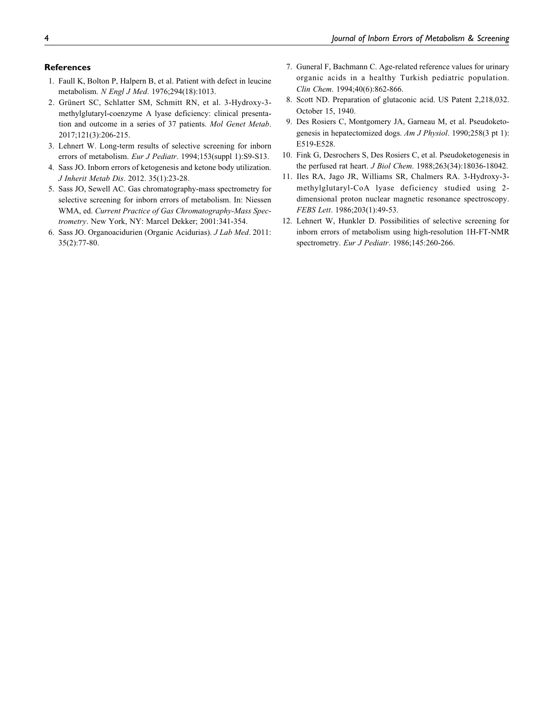## **References**

- 1. Faull K, Bolton P, Halpern B, et al. Patient with defect in leucine metabolism. N Engl J Med. 1976;294(18):1013.
- 2. Grünert SC, Schlatter SM, Schmitt RN, et al. 3-Hydroxy-3methylglutaryl-coenzyme A lyase deficiency: clinical presentation and outcome in a series of 37 patients. Mol Genet Metab. 2017;121(3):206-215.
- 3. Lehnert W. Long-term results of selective screening for inborn errors of metabolism. Eur J Pediatr. 1994;153(suppl 1):S9-S13.
- 4. Sass JO. Inborn errors of ketogenesis and ketone body utilization. J Inherit Metab Dis. 2012. 35(1):23-28.
- 5. Sass JO, Sewell AC. Gas chromatography-mass spectrometry for selective screening for inborn errors of metabolism. In: Niessen WMA, ed. Current Practice of Gas Chromatography-Mass Spectrometry. New York, NY: Marcel Dekker; 2001:341-354.
- 6. Sass JO. Organoacidurien (Organic Acidurias). J Lab Med. 2011: 35(2):77-80.
- 7. Guneral F, Bachmann C. Age-related reference values for urinary organic acids in a healthy Turkish pediatric population. Clin Chem. 1994;40(6):862-866.
- 8. Scott ND. Preparation of glutaconic acid. US Patent 2,218,032. October 15, 1940.
- 9. Des Rosiers C, Montgomery JA, Garneau M, et al. Pseudoketogenesis in hepatectomized dogs. Am J Physiol. 1990;258(3 pt 1): E519-E528.
- 10. Fink G, Desrochers S, Des Rosiers C, et al. Pseudoketogenesis in the perfused rat heart. J Biol Chem. 1988;263(34):18036-18042.
- 11. Iles RA, Jago JR, Williams SR, Chalmers RA. 3-Hydroxy-3 methylglutaryl-CoA lyase deficiency studied using 2 dimensional proton nuclear magnetic resonance spectroscopy. FEBS Lett. 1986;203(1):49-53.
- 12. Lehnert W, Hunkler D. Possibilities of selective screening for inborn errors of metabolism using high-resolution 1H-FT-NMR spectrometry. Eur J Pediatr. 1986;145:260-266.